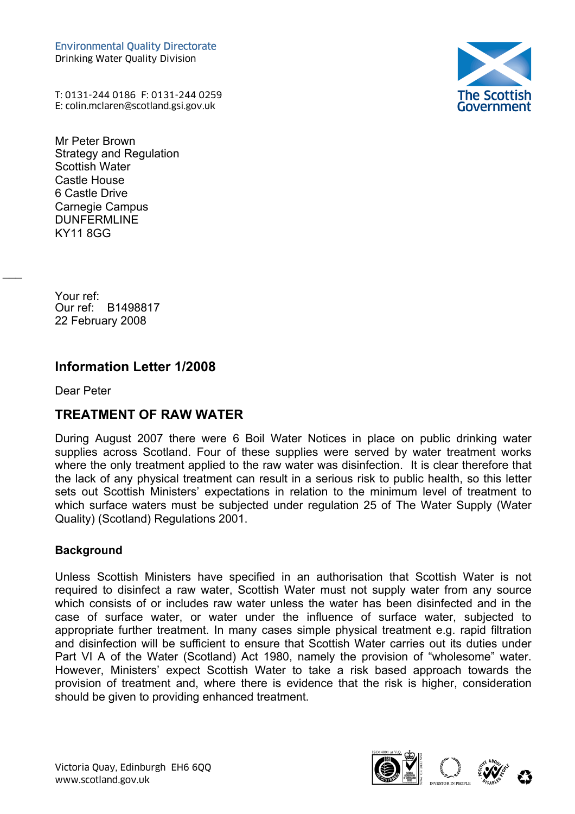Environmental Quality Directorate Drinking Water Quality Division

The Scottish<br>Government

T: 0131-244 0186 F: 0131-244 0259 Environmental Quality Directorate<br>Drinking Water Quality Division<br>T: 0131-244 0186 F: 0131-244 0259<br>E: colin.mclaren@scotland.gsi.gov.uk (

Mr Peter Brown Strategy and Regulation Scottish Water Castle House 6 Castle Drive Carnegie Campus DUNFERMLINE KY11 8GG

Your ref: Our ref: B1498817 22 February 2008

# **Information Letter 1/2008**

Dear Peter

 $\overline{\phantom{a}}$ 

## **TREATMENT OF RAW WATER**

During August 2007 there were 6 Boil Water Notices in place on public drinking water supplies across Scotland. Four of these supplies were served by water treatment works where the only treatment applied to the raw water was disinfection. It is clear therefore that the lack of any physical treatment can result in a serious risk to public health, so this letter sets out Scottish Ministers' expectations in relation to the minimum level of treatment to which surface waters must be subjected under regulation 25 of The Water Supply (Water Quality) (Scotland) Regulations 2001.

#### **Background**

Unless Scottish Ministers have specified in an authorisation that Scottish Water is not required to disinfect a raw water, Scottish Water must not supply water from any source which consists of or includes raw water unless the water has been disinfected and in the case of surface water, or water under the influence of surface water, subjected to appropriate further treatment. In many cases simple physical treatment e.g. rapid filtration and disinfection will be sufficient to ensure that Scottish Water carries out its duties under Part VI A of the Water (Scotland) Act 1980, namely the provision of "wholesome" water. However, Ministers' expect Scottish Water to take a risk based approach towards the provision of treatment and, where there is evidence that the risk is higher, consideration should be given to providing enhanced treatment.